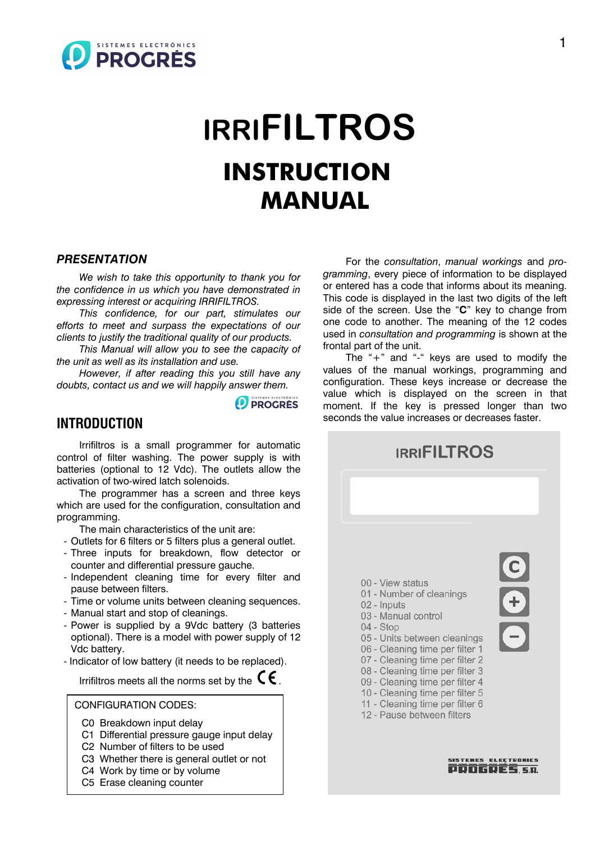

# **IRRIFILTROS INSTRUCTION MANUAL**

#### *PRESENTATION*

*We wish to take this opportunity to thank you for the confidence in us which you have demonstrated in expressing interest or acquiring IRRIFILTROS.*

*This confidence, for our part, stimulates our efforts to meet and surpass the expectations of our clients to justify the traditional quality of our products.*

*This Manual will allow you to see the capacity of the unit as well as its installation and use.*

*However, if after reading this you still have any doubts, contact us and we will happily answer them.*

**D** PROGRES

#### **INTRODUCTION**

Irrifiltros is a small programmer for automatic control of filter washing. The power supply is with batteries (optional to 12 Vdc). The outlets allow the activation of two-wired latch solenoids.

The programmer has a screen and three keys which are used for the configuration, consultation and programming.

The main characteristics of the unit are:

- Outlets for 6 filters or 5 filters plus a general outlet.
- Three inputs for breakdown, flow detector or counter and differential pressure gauche.
- Independent cleaning time for every filter and pause between filters.
- Time or volume units between cleaning sequences.
- Manual start and stop of cleanings.
- Power is supplied by a 9Vdc battery (3 batteries optional). There is a model with power supply of 12 Vdc battery.
- Indicator of low battery (it needs to be replaced).

Irrifiltros meets all the norms set by the  $\mathsf{C}\boldsymbol{\epsilon}$ .

#### CONFIGURATION CODES:

- C0 Breakdown input delay
- C1 Differential pressure gauge input delay
- C2 Number of filters to be used
- C3 Whether there is general outlet or not
- C4 Work by time or by volume
- C5 Erase cleaning counter

For the *consultation*, *manual workings* and *programming*, every piece of information to be displayed or entered has a code that informs about its meaning. This code is displayed in the last two digits of the left side of the screen. Use the "C" key to change from one code to another. The meaning of the 12 codes used in *consultation and programming* is shown at the frontal part of the unit.

The  $4$ -" and "-" keys are used to modify the values of the manual workings, programming and configuration. These keys increase or decrease the value which is displayed on the screen in that moment. If the key is pressed longer than two seconds the value increases or decreases faster.

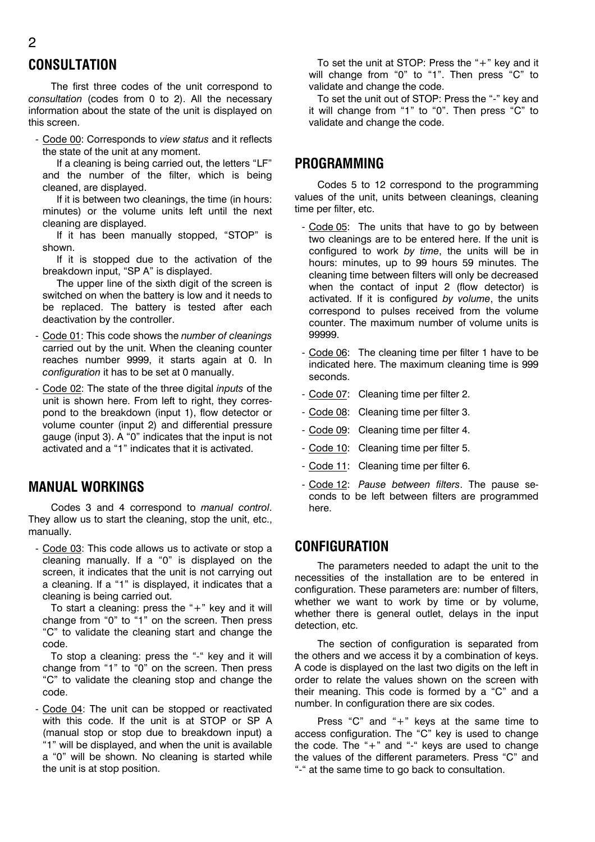## **CONSULTATION**

The first three codes of the unit correspond to *consultation* (codes from 0 to 2). All the necessary information about the state of the unit is displayed on this screen.

- Code 00: Corresponds to *view status* and it reflects the state of the unit at any moment.

If a cleaning is being carried out, the letters "LF" and the number of the filter, which is being cleaned, are displayed.

If it is between two cleanings, the time (in hours: minutes) or the volume units left until the next cleaning are displayed.

If it has been manually stopped, "STOP" is shown.

If it is stopped due to the activation of the breakdown input, "SP A" is displayed.

The upper line of the sixth digit of the screen is switched on when the battery is low and it needs to be replaced. The battery is tested after each deactivation by the controller.

- Code 01: This code shows the *number of cleanings*  carried out by the unit. When the cleaning counter reaches number 9999, it starts again at 0. In *configuration* it has to be set at 0 manually.
- Code 02: The state of the three digital *inputs* of the unit is shown here. From left to right, they correspond to the breakdown (input 1), flow detector or volume counter (input 2) and differential pressure gauge (input 3). A  $0$ <sup>"</sup> indicates that the input is not activated and a "1" indicates that it is activated.

## **MANUAL WORKINGS**

Codes 3 and 4 correspond to *manual control*. They allow us to start the cleaning, stop the unit, etc., manually.

- Code 03: This code allows us to activate or stop a cleaning manually. If a  $0$ " is displayed on the screen, it indicates that the unit is not carrying out a cleaning. If a "1" is displayed, it indicates that a cleaning is being carried out.

To start a cleaning: press the  $4$ <sup>+</sup> key and it will change from "0" to "1" on the screen. Then press ìCî to validate the cleaning start and change the code.

To stop a cleaning: press the "-" key and it will change from "1" to  $0$ " on the screen. Then press ìCî to validate the cleaning stop and change the code.

- Code 04: The unit can be stopped or reactivated with this code. If the unit is at STOP or SP A (manual stop or stop due to breakdown input) a ì1î will be displayed, and when the unit is available a "0" will be shown. No cleaning is started while the unit is at stop position.

To set the unit at STOP: Press the  $4+$ " key and it will change from "0" to "1". Then press "C" to validate and change the code.

To set the unit out of STOP: Press the "-" key and it will change from "1" to "0". Then press " $C$ " to validate and change the code.

#### **PROGRAMMING**

Codes 5 to 12 correspond to the programming values of the unit, units between cleanings, cleaning time per filter, etc.

- Code 05: The units that have to go by between two cleanings are to be entered here. If the unit is configured to work *by time*, the units will be in hours: minutes, up to 99 hours 59 minutes. The cleaning time between filters will only be decreased when the contact of input 2 (flow detector) is activated. If it is configured *by volume*, the units correspond to pulses received from the volume counter. The maximum number of volume units is 99999.
- Code 06: The cleaning time per filter 1 have to be indicated here. The maximum cleaning time is 999 seconds.
- Code 07: Cleaning time per filter 2.
- Code 08: Cleaning time per filter 3.
- Code 09: Cleaning time per filter 4.
- Code 10: Cleaning time per filter 5.
- Code 11: Cleaning time per filter 6.
- Code 12: *Pause between filters*. The pause seconds to be left between filters are programmed here.

#### **CONFIGURATION**

The parameters needed to adapt the unit to the necessities of the installation are to be entered in configuration. These parameters are: number of filters, whether we want to work by time or by volume, whether there is general outlet, delays in the input detection, etc.

The section of configuration is separated from the others and we access it by a combination of keys. A code is displayed on the last two digits on the left in order to relate the values shown on the screen with their meaning. This code is formed by a  $°C$  and a number. In configuration there are six codes.

Press "C" and "+" keys at the same time to access configuration. The  $C$ " key is used to change the code. The  $4$ <sup>\*</sup> and  $4$ <sup>\*</sup> keys are used to change the values of the different parameters. Press "C" and "-" at the same time to go back to consultation.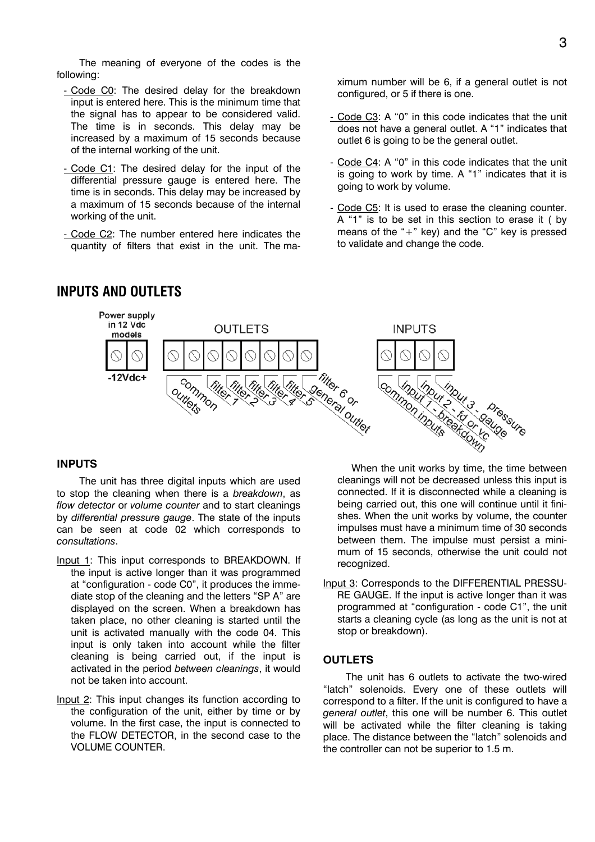The meaning of everyone of the codes is the following:

- Code C0: The desired delay for the breakdown input is entered here. This is the minimum time that the signal has to appear to be considered valid. The time is in seconds. This delay may be increased by a maximum of 15 seconds because of the internal working of the unit.
- Code C1: The desired delay for the input of the differential pressure gauge is entered here. The time is in seconds. This delay may be increased by a maximum of 15 seconds because of the internal working of the unit.
- Code C2: The number entered here indicates the quantity of filters that exist in the unit. The ma-

### **INPUTS AND OUTLETS**

ximum number will be 6, if a general outlet is not configured, or 5 if there is one.

- Code C3: A "0" in this code indicates that the unit does not have a general outlet. A "1" indicates that outlet 6 is going to be the general outlet.
- Code C4: A "0" in this code indicates that the unit is going to work by time. A  $i$ <sup>1</sup> indicates that it is going to work by volume.
- Code C5: It is used to erase the cleaning counter. A "1" is to be set in this section to erase it ( by means of the  $+$ " key) and the  $C$ " key is pressed to validate and change the code.



#### **INPUTS**

The unit has three digital inputs which are used to stop the cleaning when there is a *breakdown*, as *flow detector* or *volume counter* and to start cleanings by *differential pressure gauge*. The state of the inputs can be seen at code 02 which corresponds to *consultations*.

- Input 1: This input corresponds to BREAKDOWN. If the input is active longer than it was programmed at "configuration - code C0", it produces the immediate stop of the cleaning and the letters "SP A" are displayed on the screen. When a breakdown has taken place, no other cleaning is started until the unit is activated manually with the code 04. This input is only taken into account while the filter cleaning is being carried out, if the input is activated in the period *between cleanings*, it would not be taken into account.
- Input 2: This input changes its function according to the configuration of the unit, either by time or by volume. In the first case, the input is connected to the FLOW DETECTOR, in the second case to the VOLUME COUNTER.

When the unit works by time, the time between cleanings will not be decreased unless this input is connected. If it is disconnected while a cleaning is being carried out, this one will continue until it finishes. When the unit works by volume, the counter impulses must have a minimum time of 30 seconds between them. The impulse must persist a minimum of 15 seconds, otherwise the unit could not recognized.

Input 3: Corresponds to the DIFFERENTIAL PRESSU-RE GAUGE. If the input is active longer than it was programmed at "configuration - code C1", the unit starts a cleaning cycle (as long as the unit is not at stop or breakdown).

#### **OUTLETS**

The unit has 6 outlets to activate the two-wired "latch" solenoids. Every one of these outlets will correspond to a filter. If the unit is configured to have a *general outlet*, this one will be number 6. This outlet will be activated while the filter cleaning is taking place. The distance between the "latch" solenoids and the controller can not be superior to 1.5 m.